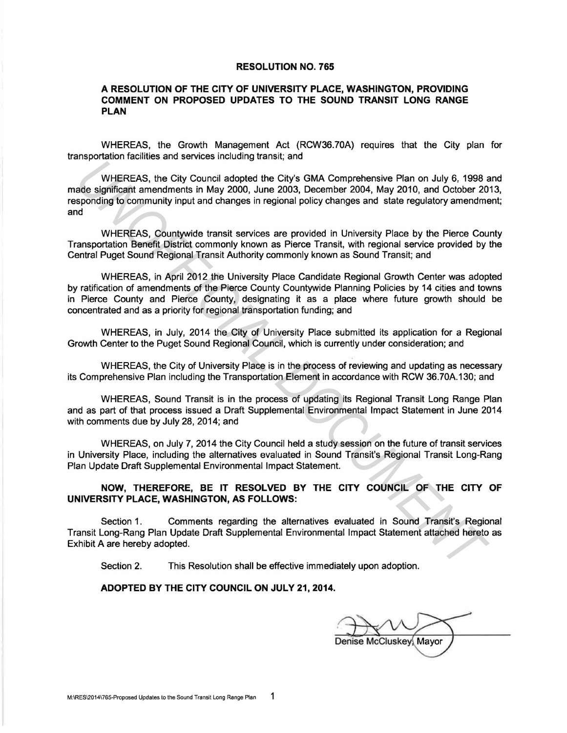## **RESOLUTION NO. 765**

## **A RESOLUTION OF THE CITY OF UNIVERSITY PLACE, WASHINGTON, PROVIDING COMMENT ON PROPOSED UPDATES TO THE SOUND TRANSIT LONG RANGE PLAN**

WHEREAS, the Growth Management Act (RCW36.70A} requires that the City plan for transportation facilities and services including transit; and

WHEREAS, the City Council adopted the City's GMA Comprehensive Plan on July 6, 1998 and made significant amendments in May 2000, June 2003, December 2004, May 2010, and October 2013, responding to community input and changes in regional policy changes and state regulatory amendment; and WHEREAS, the City Council adopted the City's GMA Comprehensive Plan on July 6, 1998<br>ade significant amendments in May 2000, June 2003, December 2004, May 2010, and October 20<br>approxing to community input and changes in reg

WHEREAS, Countywide transit services are provided in University Place by the Pierce County Transportation Benefit District commonly known as Pierce Transit, with regional service provided by the Central Puget Sound Regional Transit Authority commonly known as Sound Transit; and

WHEREAS, in April 2012 the University Place Candidate Regional Growth Center was adopted by ratification of amendments of the Pierce County Countywide Planning Policies by 14 cities and towns in Pierce County and Pierce County, designating it as a place where future growth should be concentrated and as a priority for regional transportation funding; and

WHEREAS, in July, 2014 the City of University Place submitted its application for a Regional Growth Center to the Puget Sound Regional Council, which is currently under consideration; and

WHEREAS, the City of University Place is in the process of reviewing and updating as necessary its Comprehensive Plan including the Transportation Element in accordance with RCW 36.70A.130; and

WHEREAS, Sound Transit is in the process of updating its Regional Transit long Range Plan and as part of that process issued a Draft Supplemental Environmental Impact Statement in June 2014 with comments due by July 28, 2014; and

WHEREAS, on July 7, 2014 the City Council held a study session on the future of transit services in University Place, including the alternatives evaluated in Sound Transit's Regional Transit Long-Rang Plan Update Draft Supplemental Environmental Impact Statement.

**NOW, THEREFORE, BE IT RESOLVED BY THE CITY COUNCIL OF THE CITY OF UNIVERSITY PLACE, WASHINGTON, AS FOLLOWS:** 

Section 1. Comments regarding the alternatives evaluated in Sound Transit's Regional Transit Long-Rang Plan Update Draft Supplemental Environmental Impact Statement attached hereto as Exhibit A are hereby adopted.

Section 2. This Resolution shall be effective immediately upon adoption.

## **ADOPTED BY THE CITY COUNCIL ON JULY 21, 2014.**

Denise McCluskey, Mayor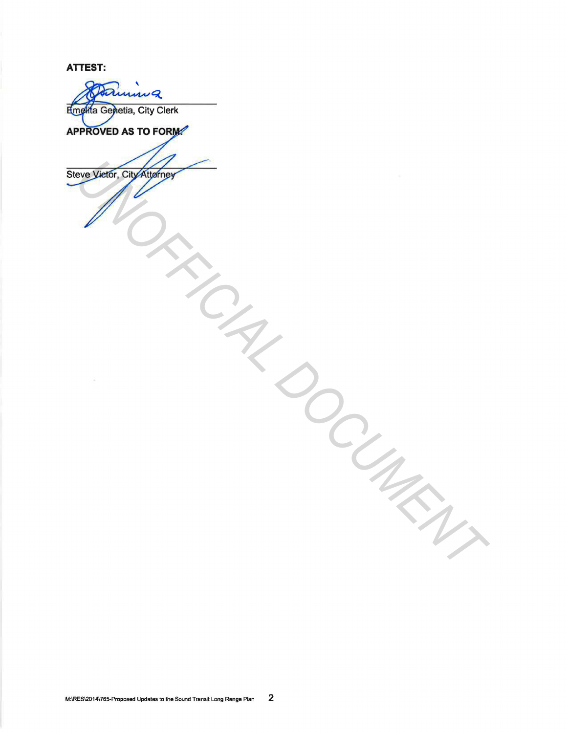**ATTEST:** 

innig Emelita Genetia, City Clerk APPROVED AS TO FORM Sieve years, compared to compare the comparative of the second to compare the comparative of the comparative of the comparative of the comparative of the comparative of the comparative of the comparative of the comparative